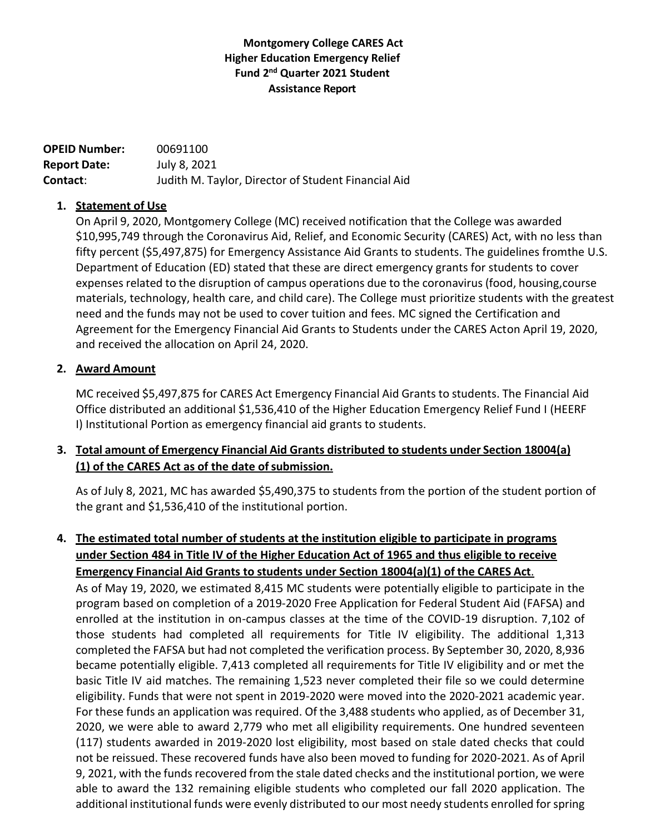### **Montgomery College CARES Act Higher Education Emergency Relief Fund 2 nd Quarter 2021 Student Assistance Report**

**OPEID Number:** 00691100 **Report Date:** July 8, 2021 **Contact**: Judith M. Taylor, Director of Student Financial Aid

#### **1. Statement of Use**

On April 9, 2020, Montgomery College (MC) received notification that the College was awarded \$10,995,749 through the Coronavirus Aid, Relief, and Economic Security (CARES) Act, with no less than fifty percent (\$5,497,875) for Emergency Assistance Aid Grants to students. The guidelines fromthe U.S. Department of Education (ED) stated that these are direct emergency grants for students to cover expenses related to the disruption of campus operations due to the coronavirus (food, housing,course materials, technology, health care, and child care). The College must prioritize students with the greatest need and the funds may not be used to cover tuition and fees. MC signed the Certification and Agreement for the Emergency Financial Aid Grants to Students under the CARES Acton April 19, 2020, and received the allocation on April 24, 2020.

#### **2. Award Amount**

MC received \$5,497,875 for CARES Act Emergency Financial Aid Grants to students. The Financial Aid Office distributed an additional \$1,536,410 of the Higher Education Emergency Relief Fund I (HEERF I) Institutional Portion as emergency financial aid grants to students.

### **3. Total amount of Emergency Financial Aid Grants distributed to students under Section 18004(a) (1) of the CARES Act as of the date ofsubmission.**

As of July 8, 2021, MC has awarded \$5,490,375 to students from the portion of the student portion of the grant and \$1,536,410 of the institutional portion.

# **4. The estimated total number of students at the institution eligible to participate in programs under Section 484 in Title IV of the Higher Education Act of 1965 and thus eligible to receive Emergency Financial Aid Grants to students under Section 18004(a)(1) of the CARES Act**.

As of May 19, 2020, we estimated 8,415 MC students were potentially eligible to participate in the program based on completion of a 2019-2020 Free Application for Federal Student Aid (FAFSA) and enrolled at the institution in on-campus classes at the time of the COVID-19 disruption. 7,102 of those students had completed all requirements for Title IV eligibility. The additional 1,313 completed the FAFSA but had not completed the verification process. By September 30, 2020, 8,936 became potentially eligible. 7,413 completed all requirements for Title IV eligibility and or met the basic Title IV aid matches. The remaining 1,523 never completed their file so we could determine eligibility. Funds that were not spent in 2019-2020 were moved into the 2020-2021 academic year. For these funds an application was required. Of the 3,488 students who applied, as of December 31, 2020, we were able to award 2,779 who met all eligibility requirements. One hundred seventeen (117) students awarded in 2019-2020 lost eligibility, most based on stale dated checks that could not be reissued. These recovered funds have also been moved to funding for 2020-2021. As of April 9, 2021, with the funds recovered from the stale dated checks and the institutional portion, we were able to award the 132 remaining eligible students who completed our fall 2020 application. The additional institutional funds were evenly distributed to our most needy students enrolled for spring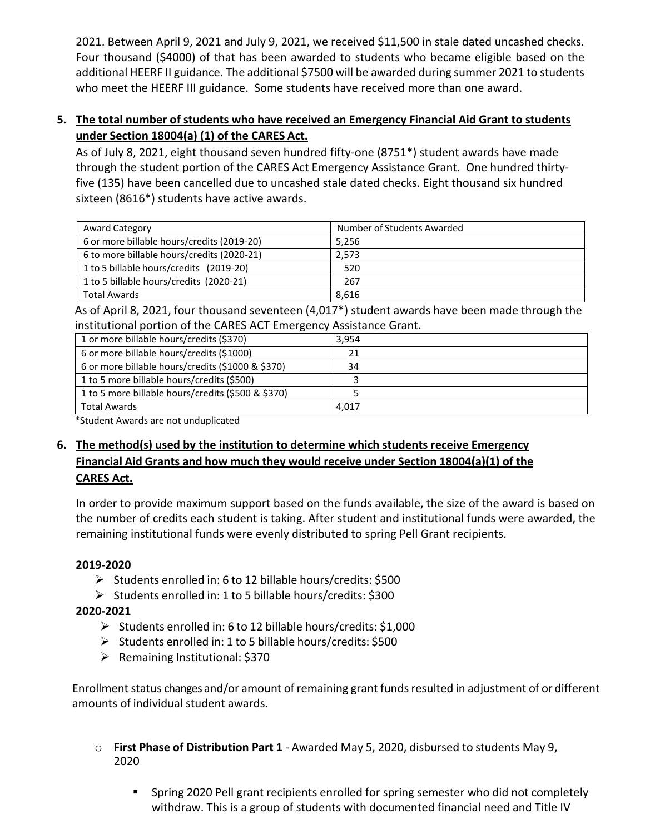2021. Between April 9, 2021 and July 9, 2021, we received \$11,500 in stale dated uncashed checks. Four thousand (\$4000) of that has been awarded to students who became eligible based on the additional HEERF II guidance. The additional \$7500 will be awarded during summer 2021 to students who meet the HEERF III guidance. Some students have received more than one award.

### **5. The total number of students who have received an Emergency Financial Aid Grant to students under Section 18004(a) (1) of the CARES Act.**

As of July 8, 2021, eight thousand seven hundred fifty-one (8751\*) student awards have made through the student portion of the CARES Act Emergency Assistance Grant. One hundred thirtyfive (135) have been cancelled due to uncashed stale dated checks. Eight thousand six hundred sixteen (8616\*) students have active awards.

| <b>Award Category</b>                      | Number of Students Awarded |
|--------------------------------------------|----------------------------|
| 6 or more billable hours/credits (2019-20) | 5,256                      |
| 6 to more billable hours/credits (2020-21) | 2.573                      |
| 1 to 5 billable hours/credits (2019-20)    | 520                        |
| 1 to 5 billable hours/credits (2020-21)    | 267                        |
| <b>Total Awards</b>                        | 8,616                      |

As of April 8, 2021, four thousand seventeen (4,017\*) student awards have been made through the institutional portion of the CARES ACT Emergency Assistance Grant.

| 1 or more billable hours/credits (\$370)           | 3,954 |
|----------------------------------------------------|-------|
| 6 or more billable hours/credits (\$1000)          | 21    |
| 6 or more billable hours/credits (\$1000 & \$370)  | 34    |
| 1 to 5 more billable hours/credits (\$500)         |       |
| 1 to 5 more billable hours/credits (\$500 & \$370) |       |
| <b>Total Awards</b>                                | 4,017 |

\*Student Awards are not unduplicated

# **6. The method(s) used by the institution to determine which students receive Emergency Financial Aid Grants and how much they would receive under Section 18004(a)(1) of the CARES Act.**

In order to provide maximum support based on the funds available, the size of the award is based on the number of credits each student is taking. After student and institutional funds were awarded, the remaining institutional funds were evenly distributed to spring Pell Grant recipients.

## **2019-2020**

- ➢ Students enrolled in: 6 to 12 billable hours/credits: \$500
- ➢ Students enrolled in: 1 to 5 billable hours/credits: \$300

## **2020-2021**

- ➢ Students enrolled in: 6 to 12 billable hours/credits: \$1,000
- ➢ Students enrolled in: 1 to 5 billable hours/credits: \$500
- ➢ Remaining Institutional: \$370

Enrollment status changes and/or amount of remaining grant fundsresulted in adjustment of or different amounts of individual student awards.

- o **First Phase of Distribution Part 1** Awarded May 5, 2020, disbursed to students May 9, 2020
	- **E** Spring 2020 Pell grant recipients enrolled for spring semester who did not completely withdraw. This is a group of students with documented financial need and Title IV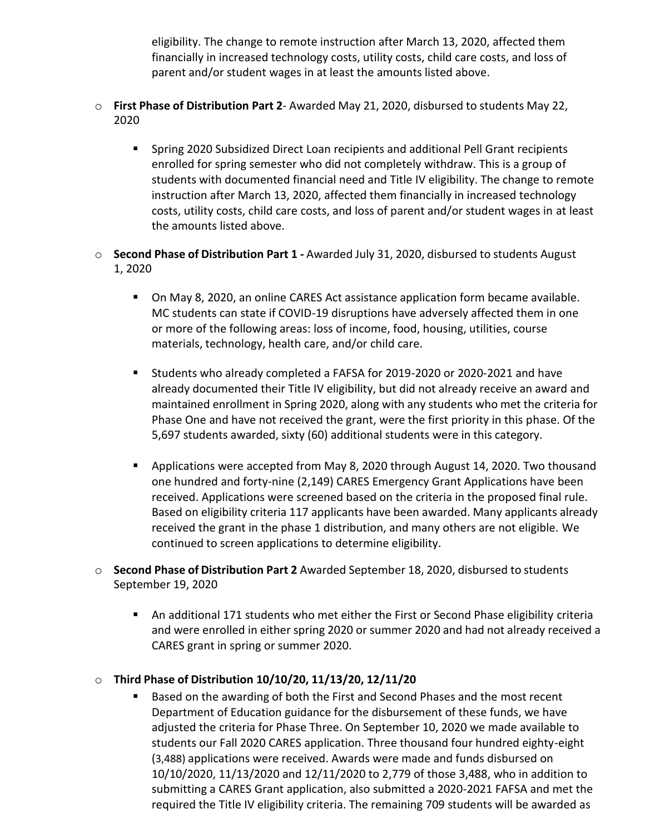eligibility. The change to remote instruction after March 13, 2020, affected them financially in increased technology costs, utility costs, child care costs, and loss of parent and/or student wages in at least the amounts listed above.

- o **First Phase of Distribution Part 2** Awarded May 21, 2020, disbursed to students May 22, 2020
	- Spring 2020 Subsidized Direct Loan recipients and additional Pell Grant recipients enrolled for spring semester who did not completely withdraw. This is a group of students with documented financial need and Title IV eligibility. The change to remote instruction after March 13, 2020, affected them financially in increased technology costs, utility costs, child care costs, and loss of parent and/or student wages in at least the amounts listed above.
- o **Second Phase of Distribution Part 1 -** Awarded July 31, 2020, disbursed to students August 1, 2020
	- On May 8, 2020, an online CARES Act assistance application form became available. MC students can state if COVID-19 disruptions have adversely affected them in one or more of the following areas: loss of income, food, housing, utilities, course materials, technology, health care, and/or child care.
	- Students who already completed a FAFSA for 2019-2020 or 2020-2021 and have already documented their Title IV eligibility, but did not already receive an award and maintained enrollment in Spring 2020, along with any students who met the criteria for Phase One and have not received the grant, were the first priority in this phase. Of the 5,697 students awarded, sixty (60) additional students were in this category.
	- **•** Applications were accepted from May 8, 2020 through August 14, 2020. Two thousand one hundred and forty-nine (2,149) CARES Emergency Grant Applications have been received. Applications were screened based on the criteria in the proposed final rule. Based on eligibility criteria 117 applicants have been awarded. Many applicants already received the grant in the phase 1 distribution, and many others are not eligible. We continued to screen applications to determine eligibility.
- o **Second Phase of Distribution Part 2** Awarded September 18, 2020, disbursed to students September 19, 2020
	- An additional 171 students who met either the First or Second Phase eligibility criteria and were enrolled in either spring 2020 or summer 2020 and had not already received a CARES grant in spring or summer 2020.
- o **Third Phase of Distribution 10/10/20, 11/13/20, 12/11/20**
	- Based on the awarding of both the First and Second Phases and the most recent Department of Education guidance for the disbursement of these funds, we have adjusted the criteria for Phase Three. On September 10, 2020 we made available to students our Fall 2020 CARES application. Three thousand four hundred eighty-eight (3,488) applications were received. Awards were made and funds disbursed on 10/10/2020, 11/13/2020 and 12/11/2020 to 2,779 of those 3,488, who in addition to submitting a CARES Grant application, also submitted a 2020-2021 FAFSA and met the required the Title IV eligibility criteria. The remaining 709 students will be awarded as